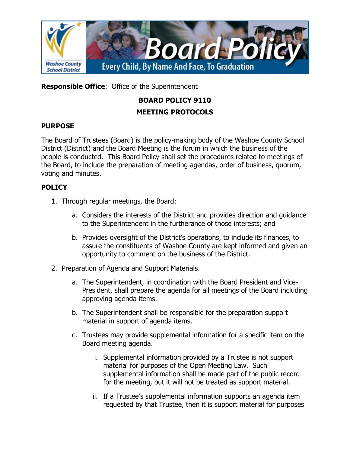

**Responsible Office**: Office of the Superintendent

# **BOARD POLICY 9110 MEETING PROTOCOLS**

# **PURPOSE**

The Board of Trustees (Board) is the policy-making body of the Washoe County School District (District) and the Board Meeting is the forum in which the business of the people is conducted. This Board Policy shall set the procedures related to meetings of the Board, to include the preparation of meeting agendas, order of business, quorum, voting and minutes.

# **POLICY**

- 1. Through regular meetings, the Board:
	- a. Considers the interests of the District and provides direction and guidance to the Superintendent in the furtherance of those interests; and
	- b. Provides oversight of the District's operations, to include its finances, to assure the constituents of Washoe County are kept informed and given an opportunity to comment on the business of the District.
- 2. Preparation of Agenda and Support Materials.
	- a. The Superintendent, in coordination with the Board President and Vice-President, shall prepare the agenda for all meetings of the Board including approving agenda items.
	- b. The Superintendent shall be responsible for the preparation support material in support of agenda items.
	- c. Trustees may provide supplemental information for a specific item on the Board meeting agenda.
		- i. Supplemental information provided by a Trustee is not support material for purposes of the Open Meeting Law. Such supplemental information shall be made part of the public record for the meeting, but it will not be treated as support material.
		- ii. If a Trustee's supplemental information supports an agenda item requested by that Trustee, then it is support material for purposes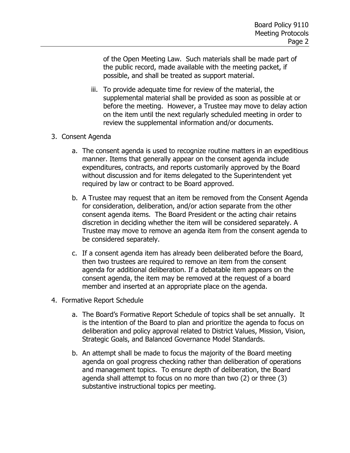of the Open Meeting Law. Such materials shall be made part of the public record, made available with the meeting packet, if possible, and shall be treated as support material.

iii. To provide adequate time for review of the material, the supplemental material shall be provided as soon as possible at or before the meeting. However, a Trustee may move to delay action on the item until the next regularly scheduled meeting in order to review the supplemental information and/or documents.

#### 3. Consent Agenda

- a. The consent agenda is used to recognize routine matters in an expeditious manner. Items that generally appear on the consent agenda include expenditures, contracts, and reports customarily approved by the Board without discussion and for items delegated to the Superintendent yet required by law or contract to be Board approved.
- b. A Trustee may request that an item be removed from the Consent Agenda for consideration, deliberation, and/or action separate from the other consent agenda items. The Board President or the acting chair retains discretion in deciding whether the item will be considered separately. A Trustee may move to remove an agenda item from the consent agenda to be considered separately.
- c. If a consent agenda item has already been deliberated before the Board, then two trustees are required to remove an item from the consent agenda for additional deliberation. If a debatable item appears on the consent agenda, the item may be removed at the request of a board member and inserted at an appropriate place on the agenda.
- 4. Formative Report Schedule
	- a. The Board's Formative Report Schedule of topics shall be set annually. It is the intention of the Board to plan and prioritize the agenda to focus on deliberation and policy approval related to District Values, Mission, Vision, Strategic Goals, and Balanced Governance Model Standards.
	- b. An attempt shall be made to focus the majority of the Board meeting agenda on goal progress checking rather than deliberation of operations and management topics. To ensure depth of deliberation, the Board agenda shall attempt to focus on no more than two (2) or three (3) substantive instructional topics per meeting.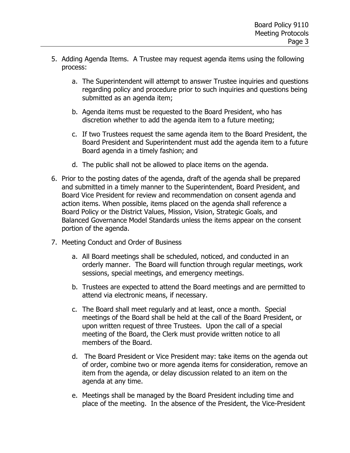- 5. Adding Agenda Items. A Trustee may request agenda items using the following process:
	- a. The Superintendent will attempt to answer Trustee inquiries and questions regarding policy and procedure prior to such inquiries and questions being submitted as an agenda item;
	- b. Agenda items must be requested to the Board President, who has discretion whether to add the agenda item to a future meeting;
	- c. If two Trustees request the same agenda item to the Board President, the Board President and Superintendent must add the agenda item to a future Board agenda in a timely fashion; and
	- d. The public shall not be allowed to place items on the agenda.
- 6. Prior to the posting dates of the agenda, draft of the agenda shall be prepared and submitted in a timely manner to the Superintendent, Board President, and Board Vice President for review and recommendation on consent agenda and action items. When possible, items placed on the agenda shall reference a Board Policy or the District Values, Mission, Vision, Strategic Goals, and Balanced Governance Model Standards unless the items appear on the consent portion of the agenda.
- 7. Meeting Conduct and Order of Business
	- a. All Board meetings shall be scheduled, noticed, and conducted in an orderly manner. The Board will function through regular meetings, work sessions, special meetings, and emergency meetings.
	- b. Trustees are expected to attend the Board meetings and are permitted to attend via electronic means, if necessary.
	- c. The Board shall meet regularly and at least, once a month. Special meetings of the Board shall be held at the call of the Board President, or upon written request of three Trustees. Upon the call of a special meeting of the Board, the Clerk must provide written notice to all members of the Board.
	- d. The Board President or Vice President may: take items on the agenda out of order, combine two or more agenda items for consideration, remove an item from the agenda, or delay discussion related to an item on the agenda at any time.
	- e. Meetings shall be managed by the Board President including time and place of the meeting. In the absence of the President, the Vice-President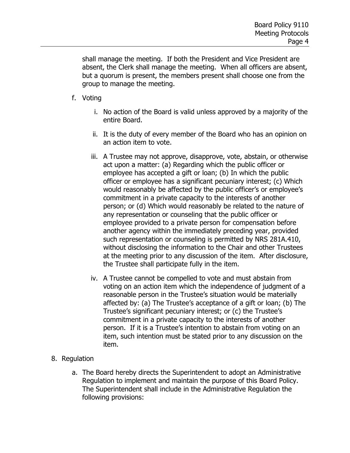shall manage the meeting. If both the President and Vice President are absent, the Clerk shall manage the meeting. When all officers are absent, but a quorum is present, the members present shall choose one from the group to manage the meeting.

- f. Voting
	- i. No action of the Board is valid unless approved by a majority of the entire Board.
	- ii. It is the duty of every member of the Board who has an opinion on an action item to vote.
	- iii. A Trustee may not approve, disapprove, vote, abstain, or otherwise act upon a matter: (a) Regarding which the public officer or employee has accepted a gift or loan; (b) In which the public officer or employee has a significant pecuniary interest; (c) Which would reasonably be affected by the public officer's or employee's commitment in a private capacity to the interests of another person; or (d) Which would reasonably be related to the nature of any representation or counseling that the public officer or employee provided to a private person for compensation before another agency within the immediately preceding year, provided such representation or counseling is permitted by NRS 281A.410, without disclosing the information to the Chair and other Trustees at the meeting prior to any discussion of the item. After disclosure, the Trustee shall participate fully in the item.
	- iv. A Trustee cannot be compelled to vote and must abstain from voting on an action item which the independence of judgment of a reasonable person in the Trustee's situation would be materially affected by: (a) The Trustee's acceptance of a gift or loan; (b) The Trustee's significant pecuniary interest; or (c) the Trustee's commitment in a private capacity to the interests of another person. If it is a Trustee's intention to abstain from voting on an item, such intention must be stated prior to any discussion on the item.

## 8. Regulation

a. The Board hereby directs the Superintendent to adopt an Administrative Regulation to implement and maintain the purpose of this Board Policy. The Superintendent shall include in the Administrative Regulation the following provisions: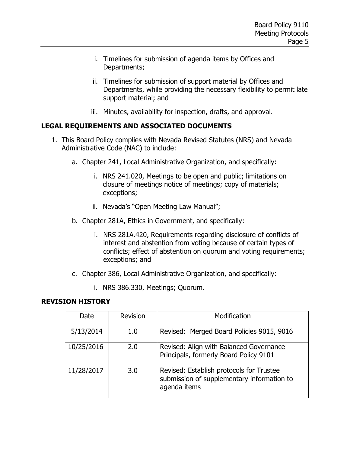- i. Timelines for submission of agenda items by Offices and Departments;
- ii. Timelines for submission of support material by Offices and Departments, while providing the necessary flexibility to permit late support material; and
- iii. Minutes, availability for inspection, drafts, and approval.

## **LEGAL REQUIREMENTS AND ASSOCIATED DOCUMENTS**

- 1. This Board Policy complies with Nevada Revised Statutes (NRS) and Nevada Administrative Code (NAC) to include:
	- a. Chapter 241, Local Administrative Organization, and specifically:
		- i. NRS 241.020, Meetings to be open and public; limitations on closure of meetings notice of meetings; copy of materials; exceptions;
		- ii. Nevada's "Open Meeting Law Manual";
	- b. Chapter 281A, Ethics in Government, and specifically:
		- i. NRS 281A.420, Requirements regarding disclosure of conflicts of interest and abstention from voting because of certain types of conflicts; effect of abstention on quorum and voting requirements; exceptions; and
	- c. Chapter 386, Local Administrative Organization, and specifically:
		- i. NRS 386.330, Meetings; Quorum.

## **REVISION HISTORY**

| Date       | <b>Revision</b> | Modification                                                                                           |
|------------|-----------------|--------------------------------------------------------------------------------------------------------|
| 5/13/2014  | 1.0             | Revised: Merged Board Policies 9015, 9016                                                              |
| 10/25/2016 | 2.0             | Revised: Align with Balanced Governance<br>Principals, formerly Board Policy 9101                      |
| 11/28/2017 | 3.0             | Revised: Establish protocols for Trustee<br>submission of supplementary information to<br>agenda items |